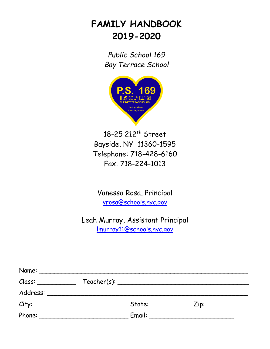# **FAMILY HANDBOOK 2019-2020**

*Public School 169 Bay Terrace School*



18-25 212<sup>th</sup> Street Bayside, NY 11360-1595 Telephone: 718-428-6160 Fax: 718-224-1013

Vanessa Rosa, Principal [vrosa@schools.nyc.gov](mailto:vchambers@schools.nyc.gov)

Leah Murray, Assistant Principal [lmurray11@schools.nyc.gov](mailto:lmurray11@schools.nyc.gov)

| Name:    |                                                                                                                      |                    |                    |
|----------|----------------------------------------------------------------------------------------------------------------------|--------------------|--------------------|
| Class:   |                                                                                                                      | Teacher(s):        |                    |
| Address: | <u> 1980 - Andrea Andrew Amerikaanse kommunister en de groepe van de groepe van de groepe van de groepe van de g</u> |                    |                    |
| City:    |                                                                                                                      | State: ___________ | Zip: _____________ |
| Phone:   |                                                                                                                      |                    |                    |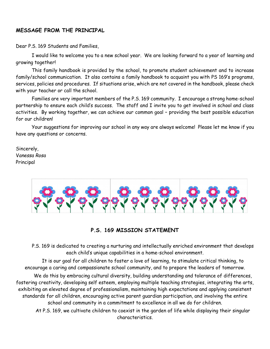# **MESSAGE FROM THE PRINCIPAL**

Dear P.S. 169 Students and Families,

I would like to welcome you to a new school year. We are looking forward to a year of learning and growing together!

This family handbook is provided by the school, to promote student achievement and to increase family/school communication. It also contains a family handbook to acquaint you with PS 169's programs, services, policies and procedures. If situations arise, which are not covered in the handbook, please check with your teacher or call the school.

Families are very important members of the P.S. 169 community. I encourage a strong home-school partnership to ensure each child's success. The staff and I invite you to get involved in school and class activities. By working together, we can achieve our common goal – providing the best possible education for our children!

Your suggestions for improving our school in any way are always welcome! Please let me know if you have any questions or concerns.

Sincerely, V*anessa Rosa* Principal



### **P.S. 169 MISSION STATEMENT**

P.S. 169 is dedicated to creating a nurturing and intellectually enriched environment that develops each child's unique capabilities in a home-school environment.

It is our goal for all children to foster a love of learning, to stimulate critical thinking, to encourage a caring and compassionate school community, and to prepare the leaders of tomorrow.

We do this by embracing cultural diversity, building understanding and tolerance of differences, fostering creativity, developing self esteem, employing multiple teaching strategies, integrating the arts, exhibiting an elevated degree of professionalism, maintaining high expectations and applying consistent standards for all children, encouraging active parent guardian participation, and involving the entire school and community in a commitment to excellence in all we do for children.

At P.S. 169, we cultivate children to coexist in the garden of life while displaying their singular characteristics.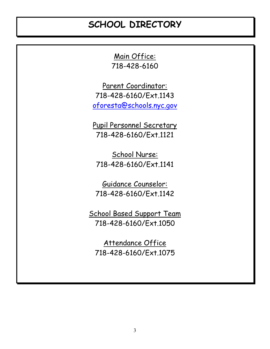# **SCHOOL DIRECTORY**

Main Office: 718-428-6160

Parent Coordinator: 718-428-6160/Ext.1143 [oforesta@schools.nyc.gov](mailto:oforesta@schools.nyc.gov)

Pupil Personnel Secretary 718-428-6160/Ext.1121

School Nurse: 718-428-6160/Ext.1141

Guidance Counselor: 718-428-6160/Ext.1142

School Based Support Team 718-428-6160/Ext.1050

Attendance Office 718-428-6160/Ext.1075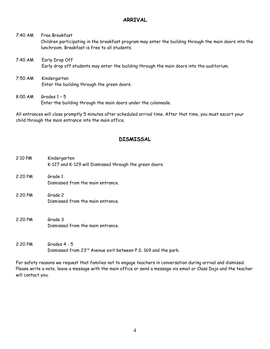# **ARRIVAL**

7:40 AM Free Breakfast Children participating in the breakfast program may enter the building through the main doors into the lunchroom. Breakfast is free to all students. 7:40 AM Early Drop Off

- Early drop off students may enter the building through the main doors into the auditorium.
- 7:50 AM Kindergarten Enter the building through the green doors.
- 8:00 AM Grades 1 5 Enter the building through the main doors under the colonnade.

All entrances will close promptly 5 minutes after scheduled arrival time. After that time, you must escort your child through the main entrance into the main office.

# **DISMISSAL**

| 2:10 PM   | Kindergarten<br>K-127 and K-129 will Dismissed through the green doors. |
|-----------|-------------------------------------------------------------------------|
| $2:20$ PM | Grade 1<br>Dismissed from the main entrance.                            |
| $2:20$ PM | Grade 2<br>Dismissed from the main entrance.                            |
| 2:20 PM   | Grade 3<br>Dismissed from the main entrance.                            |
| $2:20$ PM | Grades 4 - 5                                                            |

For safety reasons we request that families not to engage teachers in conversation during arrival and dismissal. Please write a note, leave a message with the main office or send a message via email or Class Dojo and the teacher will contact you.

Dismissed from 23rd Avenue exit between P.S. 169 and the park.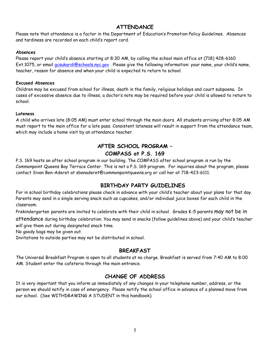# **ATTENDANCE**

Please note that attendance is a factor in the Department of Education's Promotion Policy Guidelines. Absences and tardiness are recorded on each child's report card.

#### **Absences**

Please report your child's absence starting at 8:30 AM, by calling the school main office at (718) 428-6160 Ext.1075, or email [gcsukardi@schools.nyc.gov](mailto:gcsukardi@schools.nyc.gov) . Please give the following information: your name, your child's name, teacher, reason for absence and when your child is expected to return to school.

#### **Excused Absences**

Children may be excused from school for illness, death in the family, religious holidays and court subpoena. In cases of excessive absence due to illness, a doctor's note may be required before your child is allowed to return to school.

#### **Lateness**

A child who arrives late (8:05 AM) must enter school through the main doors. All students arriving after 8:05 AM must report to the main office for a late pass. Consistent lateness will result in support from the attendance team, which may include a home visit by an attendance teacher.

# **AFTER SCHOOL PROGRAM – COMPASS at P.S. 169**

P.S. 169 hosts an after school program in our building. The COMPASS after school program is run by the Commonpoint Queens Bay Terrace Center. This is not a P.S. 169 program. For inquiries about the program, please contact Sivan Ben-Aderet at sbenaderet@commonpointqueens.org or call her at 718-423-6111.

# **BIRTHDAY PARTY GUIDELINES**

For in school birthday celebrations please check in advance with your child's teacher about your plans for that day. Parents may send in a single serving snack such as cupcakes, and/or individual juice boxes for each child in the classroom.

Prekindergarten parents are invited to celebrate with their child in school. Grades K-5 parents may not be in

attendance during birthday celebration. You may send in snacks (follow guidelines above) and your child's teacher will give them out during designated snack time.

No goody bags may be given out.

Invitations to outside parties may not be distributed in school.

### **BREAKFAST**

The Universal Breakfast Program is open to all students at no charge. Breakfast is served from 7:40 AM to 8:00 AM. Student enter the cafeteria through the main entrance.

# **CHANGE OF ADDRESS**

It is very important that you inform us immediately of any changes in your telephone number, address, or the person we should notify in case of emergency. Please notify the school office in advance of a planned move from our school. (See WITHDRAWING A STUDENT in this handbook).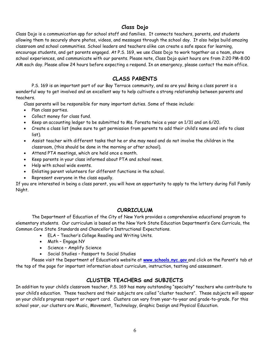# **Class Dojo**

Class Dojo is a communication app for school staff and families. It connects teachers, parents, and students allowing them to securely share photos, videos, and messages through the school day. It also helps build amazing classroom and school communities. School leaders and teachers alike can create a safe space for learning, encourage students, and get parents engaged. At P.S. 169, we use Class Dojo to work together as a team, share school experiences, and communicate with our parents. Please note, Class Dojo quiet hours are from 2:20 PM-8:00 AM each day. Please allow 24 hours before expecting a respond. In an emergency, please contact the main office.

# **CLASS PARENTS**

P.S. 169 is an important part of our Bay Terrace community, and so are you! Being a class parent is a wonderful way to get involved and an excellent way to help cultivate a strong relationship between parents and teachers.

Class parents will be responsible for many important duties. Some of these include:

- Plan class parties.
- Collect money for class fund.
- Keep an accounting ledger to be submitted to Ms. Foresta twice a year on 1/31 and on 6/20.
- Create a class list (make sure to get permission from parents to add their child's name and info to class list).
- Assist teacher with different tasks that he or she may need and do not involve the children in the classroom, (this should be done in the morning or after school).
- Attend PTA meetings, which are held once a month.
- Keep parents in your class informed about PTA and school news.
- Help with school wide events.
- Enlisting parent volunteers for different functions in the school.
- Represent everyone in the class equally.

If you are interested in being a class parent, you will have an opportunity to apply to the lottery during Fall Family Night.

### **CURRICULUM**

The Department of Education of the City of New York provides a comprehensive educational program to elementary students. Our curriculum is based on the New York State Education Department's Core Curricula, the Common Core State Standards and Chancellor's Instructional Expectations.

- ELA Teacher's College Reading and Writing Units.
- Math Engage NY
- Science Amplify Science
- Social Studies Passport to Social Studies

Please visit the Department of Education's website at **[www.schools.nyc.gov](http://www.schools.nyc.gov/)** and click on the Parent's tab at the top of the page for important information about curriculum, instruction, testing and assessment.

# **CLUSTER TEACHERS and SUBJECTS**

In addition to your child's classroom teacher, P.S. 169 has many outstanding "specialty" teachers who contribute to your child's education. These teachers and their subjects are called "cluster teachers". These subjects will appear on your child's progress report or report card. Clusters can vary from year-to-year and grade-to-grade. For this school year, our clusters are Music, Movement, Technology, Graphic Design and Physical Education.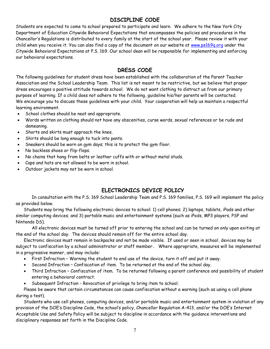# **DISCIPLINE CODE**

Students are expected to come to school prepared to participate and learn. We adhere to the New York City Department of Education Citywide Behavioral Expectations that encompasses the policies and procedures in the Chancellor's Regulations is distributed to every family at the start of the school year. Please review it with your child when you receive it. You can also find a copy of the document on our website at [www.ps169q.org](http://www.ps169q.org/) under the Citywide Behavioral Expectations at P.S. 169. Our school dean will be responsible for implementing and enforcing our behavioral expectations.

# **DRESS CODE**

The following guidelines for student dress have been established with the collaboration of the Parent Teacher Association and the School Leadership Team. This list is not meant to be restrictive, but we believe that proper dress encourages a positive attitude towards school. We do not want clothing to distract us from our primary purpose of learning. If a child does not adhere to the following, guideline his/her parents will be contacted. We encourage you to discuss these guidelines with your child. Your cooperation will help us maintain a respectful learning environment.

- School clothes should be neat and appropriate.
- Words written on clothing should not have any obscenities, curse words, sexual references or be rude and demeaning.
- Shorts and skirts must approach the knee.
- Shirts should be long enough to tuck into pants.
- Sneakers should be worn on gym days; this is to protect the gym floor.
- No backless shoes or flip-flops.
- No chains that hang from belts or leather cuffs with or without metal studs.
- Caps and hats are not allowed to be worn in school.
- Outdoor jackets may not be worn in school.

# **ELECTRONICS DEVICE POLICY**

In consultation with the P.S. 169 School Leadership Team and P.S. 169 families, P.S. 169 will implement the policy as provided below.

Students may bring the following electronic devices to school: 1) cell phones; 2) laptops, tablets, iPads and other similar computing devices; and 3) portable music and entertainment systems (such as iPods, MP3 players, PSP and Nintendo DS).

All electronic devices must be turned off prior to entering the school and can be turned on only upon exiting at the end of the school day. The devices should remain off for the entire school day.

Electronic devices must remain in backpacks and not be made visible. If used or seen in school, devices may be subject to confiscation by a school administrator or staff member**.** Where appropriate, measures will be implemented in a progressive manner, and may include:

- First Infraction Warning the student to end use of the device, turn it off and put it away.
- Second Infraction Confiscation of item. To be returned at the end of the school day.
- Third Infraction Confiscation of item. To be returned following a parent conference and possibility of student entering a behavioral contract.
- Subsequent Infraction Revocation of privilege to bring item to school.

Please be aware that certain circumstances can cause confiscation without a warning (such as using a cell phone during a test).

Students who use cell phones, computing devices, and/or portable music and entertainment system in violation of any provision of the DOE's Discipline Code, the school's policy, Chancellor Regulation A-413, and/or the DOE's Internet Acceptable Use and Safety Policy will be subject to discipline in accordance with the guidance interventions and disciplinary responses set forth in the Discipline Code.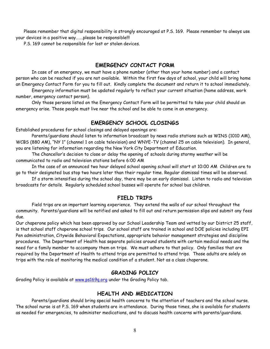Please remember that digital responsibility is strongly encouraged at P.S. 169. Please remember to always use your devices in a positive way…….please be responsible!!!

P.S. 169 cannot be responsible for lost or stolen devices.

### **EMERGENCY CONTACT FORM**

In case of an emergency, we must have a phone number (other than your home number) and a contact person who can be reached if you are not available. Within the first few days of school, your child will bring home an Emergency Contact Form for you to fill out. Kindly complete the document and return it to school immediately.

Emergency information must be updated regularly to reflect your current situation (home address, work number, emergency contact person).

Only those persons listed on the Emergency Contact Form will be permitted to take your child should an emergency arise. Those people must live near the school and be able to come in an emergency.

#### **EMERGENCY SCHOOL CLOSINGS**

Established procedures for school closings and delayed openings are:

Parents/guardians should listen to information broadcast by news radio stations such as WINS (1010 AM), WCBS (880 AM), "NY 1" (channel 1 on cable television) and WNYE-TV (channel 25 on cable television). In general, you are listening for information regarding the New York City Department of Education.

The Chancellor's decision to close or delay the opening of schools during stormy weather will be communicated to radio and television stations before 6:00 AM

In the case of an announced two hour delayed school opening school will start at 10:00 AM Children are to go to their designated bus stop two hours later than their regular time. Regular dismissal times will be observed.

If a storm intensifies during the school day, there may be an early dismissal. Listen to radio and television broadcasts for details. Regularly scheduled school busses will operate for school bus children.

#### **FIELD TRIPS**

Field trips are an important learning experience. They extend the walls of our school throughout the community. Parents/guardians will be notified and asked to fill out and return permission slips and submit any fees due.

Our chaperone policy which has been approved by our School Leadership Team and vetted by our District 25 staff, is that school staff chaperone school trips. Our school staff are trained in school and DOE policies including EPI Pen administration, Citywide Behavioral Expectations, appropriate behavior management strategies and discipline procedures. The Department of Health has separate policies around students with certain medical needs and the need for a family member to accompany them on trips. We must adhere to that policy. Only families that are required by the Department of Health to attend trips are permitted to attend trips. Those adults are solely on trips with the role of monitoring the medical condition of a student. Not as a class chaperone.

#### **GRADING POLICY**

Grading Policy is available at [www.ps169q.org](http://www.ps169q.org/) under the Grading Policy tab.

#### **HEALTH AND MEDICATION**

Parents/guardians should bring special health concerns to the attention of teachers and the school nurse. The school nurse is at P.S. 169 when students are in attendance. During those times, she is available for students as needed for emergencies, to administer medications, and to discuss health concerns with parents/guardians.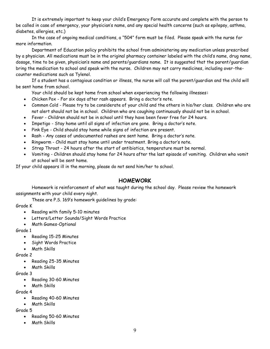It is extremely important to keep your child's Emergency Form accurate and complete with the person to be called in case of emergency, your physician's name, and any special health concerns (such as epilepsy, asthma, diabetes, allergies, etc.)

In the case of ongoing medical conditions, a "504" form must be filed. Please speak with the nurse for more information.

Department of Education policy prohibits the school from administering any medication unless prescribed by a physician. All medications must be in the original pharmacy container labeled with the child's name, drug name, dosage, time to be given, physician's name and parents/guardians name. It is suggested that the parent/guardian bring the medication to school and speak with the nurse. Children may not carry medicines, including over-thecounter medications such as Tylenol.

If a student has a contagious condition or illness, the nurse will call the parent/guardian and the child will be sent home from school.

Your child should be kept home from school when experiencing the following illnesses**:**

- Chicken Pox For six days after rash appears. Bring a doctor's note.
- Common Cold Please try to be considerate of your child and the others in his/her class. Children who are not alert should not be in school. Children who are coughing continuously should not be in school.
- Fever Children should not be in school until they have been fever free for 24 hours.
- Impetigo Stay home until all signs of infection are gone. Bring a doctor's note.
- Pink Eye Child should stay home while signs of infection are present.
- Rash Any cases of undocumented rashes are sent home. Bring a doctor's note.
- Ringworm Child must stay home until under treatment. Bring a doctor's note.
- Strep Throat 24 hours after the start of antibiotics, temperature must be normal.
- Vomiting Children should stay home for 24 hours after the last episode of vomiting. Children who vomit at school will be sent home.

If your child appears ill in the morning, please do not send him/her to school.

### **HOMEWORK**

Homework is reinforcement of what was taught during the school day. Please review the homework assignments with your child every night.

These are P.S. 169's homework guidelines by grade:

Grade K

- Reading with family 5-10 minutes
- Letters/Letter Sounds/Sight Words Practice
- Math Games-Optional

Grade 1

- Reading 15-25 Minutes
- Sight Words Practice
- Math Skills

Grade 2

- Reading 25-35 Minutes
- Math Skills

Grade 3

- Reading 30-60 Minutes
- Math Skills

Grade 4

- Reading 40-60 Minutes
- Math Skills

Grade 5

- Reading 50-60 Minutes
- Math Skills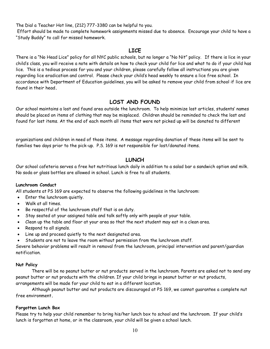The Dial a Teacher Hot line, (212) 777-3380 can be helpful to you.

Effort should be made to complete homework assignments missed due to absence. Encourage your child to have a "Study Buddy" to call for missed homework.

## **LICE**

There is a "No Head Lice" policy for all NYC public schools, but no longer a "No Nit" policy. If there is lice in your child's class, you will receive a note with details on how to check your child for lice and what to do if your child has lice. This is a tedious process for you and your children, please carefully follow all instructions you are given regarding lice eradication and control. Please check your child's head weekly to ensure a lice free school. In accordance with Department of Education guidelines, you will be asked to remove your child from school if lice are found in their head**.** 

# **LOST AND FOUND**

Our school maintains a lost and found area outside the lunchroom. To help minimize lost articles, students' names should be placed on items of clothing that may be misplaced. Children should be reminded to check the lost and found for lost items. At the end of each month all items that were not picked up will be donated to different

organizations and children in need of those items. A message regarding donation of these items will be sent to families two days prior to the pick-up. P.S. 169 is not responsible for lost/donated items.

# **LUNCH**

Our school cafeteria serves a free hot nutritious lunch daily in addition to a salad bar a sandwich option and milk. No soda or glass bottles are allowed in school. Lunch is free to all students.

#### **Lunchroom Conduct**

All students at PS 169 are expected to observe the following guidelines in the lunchroom:

- Enter the lunchroom quietly.
- Walk at all times.
- Be respectful of the lunchroom staff that is on duty.
- Stay seated at your assigned table and talk softly only with people at your table.
- Clean up the table and floor at your area so that the next student may eat in a clean area.
- Respond to all signals.
- Line up and proceed quietly to the next designated area.
- Students are not to leave the room without permission from the lunchroom staff.

Severe behavior problems will result in removal from the lunchroom, principal intervention and parent/guardian notification.

#### **Nut Policy**

There will be no peanut butter or nut products served in the lunchroom. Parents are asked not to send any peanut butter or nut products with the children. If your child brings in peanut butter or nut products,

arrangements will be made for your child to eat in a different location.

Although peanut butter and nut products are discouraged at PS 169, we cannot guarantee a complete nut free environment**.**

#### **Forgotten Lunch Box**

Please try to help your child remember to bring his/her lunch box to school and the lunchroom. If your child's lunch is forgotten at home, or in the classroom, your child will be given a school lunch.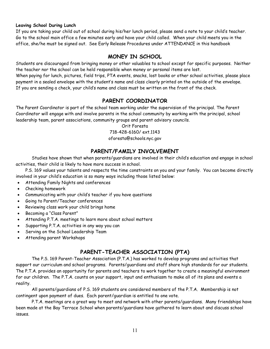#### **Leaving School During Lunch**

If you are taking your child out of school during his/her lunch period, please send a note to your child's teacher. Go to the school main office a few minutes early and have your child called. When your child meets you in the office, she/he must be signed out. See Early Release Procedures under ATTENDANCE in this handbook

# **MONEY IN SCHOOL**

Students are discouraged from bringing money or other valuables to school except for specific purposes. Neither the teacher nor the school can be held responsible when money or personal items are lost. When paying for lunch, pictures, field trips, PTA events, snacks, lost books or other school activities, please place payment in a sealed envelope with the student's name and class clearly printed on the outside of the envelope. If you are sending a check, your child's name and class must be written on the front of the check.

# **PARENT COORDINATOR**

The Parent Coordinator is part of the school team working under the supervision of the principal. The Parent Coordinator will engage with and involve parents in the school community by working with the principal, school leadership team, parent associations, community groups and parent advisory councils.

> Orit Foresta 718-428-6160/ ext.1143 oforesta@schools.nyc.gov

# **PARENT/FAMILY INVOLVEMENT**

Studies have shown that when parents/guardians are involved in their child's education and engage in school activities, their child is likely to have more success in school.

P.S. 169 values your talents and respects the time constraints on you and your family. You can become directly involved in your child's education is so many ways including those listed below:

- Attending Family Nights and conferences
- Checking homework
- Communicating with your child's teacher if you have questions
- Going to Parent/Teacher conferences
- Reviewing class work your child brings home
- Becoming a "Class Parent"
- Attending P.T.A. meetings to learn more about school matters
- Supporting P.T.A. activities in any way you can
- Serving on the School Leadership Team
- Attending parent Workshops

# **PARENT-TEACHER ASSOCIATION (PTA)**

The P.S. 169 Parent-Teacher Association (P.T.A.) has worked to develop programs and activities that support our curriculum and school programs. Parents/guardians and staff share high standards for our students. The P.T.A. provides an opportunity for parents and teachers to work together to create a meaningful environment for our children. The P.T.A. counts on your support, input and enthusiasm to make all of its plans and events a reality.

All parents/guardians of P.S. 169 students are considered members of the P.T.A. Membership is not contingent upon payment of dues. Each parent/guardian is entitled to one vote.

P.T.A. meetings are a great way to meet and network with other parents/guardians. Many friendships have been made at the Bay Terrace School when parents/guardians have gathered to learn about and discuss school issues.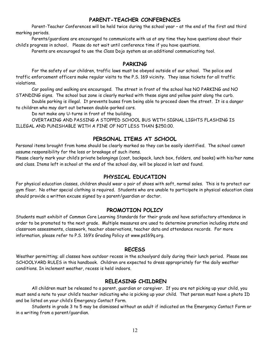# **PARENT-TEACHER CONFERENCES**

Parent-Teacher Conferences will be held twice during the school year – at the end of the first and third marking periods.

Parents/guardians are encouraged to communicate with us at any time they have questions about their child's progress in school**.** Please do not wait until conference time if you have questions.

Parents are encouraged to use the Class Dojo system as an additional communicating tool.

#### **PARKING**

For the safety of our children, traffic laws must be obeyed outside of our school. The police and traffic enforcement officers make regular visits to the P.S. 169 vicinity. They issue tickets for all traffic violations.

Car pooling and walking are encouraged. The street in front of the school has NO PARKING and NO STANDING signs. The school bus zone is clearly marked with these signs and yellow paint along the curb.

Double parking is illegal. It prevents buses from being able to proceed down the street. It is a danger to children who may dart out between double-parked cars.

Do not make any U-turns in front of the building.

OVERTAKING AND PASSING A STOPPED SCHOOL BUS WITH SIGNAL LIGHTS FLASHING IS ILLEGAL AND PUNISHABLE WITH A FINE OF NOT LESS THAN \$250.00.

# **PERSONAL ITEMS AT SCHOOL**

Personal items brought from home should be clearly marked so they can be easily identified. The school cannot assume responsibility for the loss or breakage of such items.

Please clearly mark your child's private belongings (coat, backpack, lunch box, folders, and books) with his/her name and class. Items left in school at the end of the school day, will be placed in lost and found.

## **PHYSICAL EDUCATION**

For physical education classes, children should wear a pair of shoes with soft, normal soles. This is to protect our gym floor. No other special clothing is required. Students who are unable to participate in physical education class should provide a written excuse signed by a parent/guardian or doctor.

### **PROMOTION POLICY**

Students must exhibit of Common Core Learning Standards for their grade and have satisfactory attendance in order to be promoted to the next grade. Multiple measures are used to determine promotion including state and classroom assessments, classwork, teacher observations, teacher data and attendance records. For more information, please refer to P.S. 169's Grading Policy at www.ps169q.org.

#### **RECESS**

Weather permitting; all classes have outdoor recess in the schoolyard daily during their lunch period. Please see SCHOOLYARD RULES in this handbook. Children are expected to dress appropriately for the daily weather conditions. In inclement weather, recess is held indoors.

### **RELEASING CHILDREN**

All children must be released to a parent, guardian or caregiver. If you are not picking up your child, you must send a note to your child's teacher indicating who is picking up your child. That person must have a photo ID and be listed on your child's Emergency Contact Form.

Students in grade 3 to 5 may be dismissed without an adult if indicated on the Emergency Contact Form or in a writing from a parent/guardian.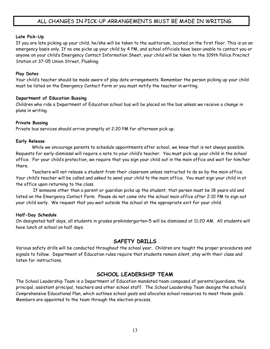# ALL CHANGES IN PICK-UP ARRANGEMENTS MUST BE MADE IN WRITING.

#### **Late Pick-Up**

If you are late picking up your child, he/she will be taken to the auditorium, located on the first floor. This is on an emergency basis only. If no one picks up your child by 4 PM, and school officials have been unable to contact you or anyone on your child's Emergency Contact Information Sheet, your child will be taken to the 109th Police Precinct Station at 37-05 Union Street, Flushing.

#### **Play Dates**

Your child's teacher should be made aware of play date arrangements. Remember the person picking up your child must be listed on the Emergency Contact Form or you must notify the teacher in writing.

#### **Department of Education Bussing**

Children who ride a Department of Education school bus will be placed on the bus unless we receive a change in plans in writing.

#### **Private Bussing**

Private bus services should arrive promptly at 2:20 PM for afternoon pick up.

#### **Early Release**

While we encourage parents to schedule appointments after school, we know that is not always possible. Requests for early dismissal will require a note to your child's teacher. You must pick-up your child in the school office. For your child's protection, we require that you sign your child out in the main office and wait for him/her there.

Teachers will not release a student from their classroom unless instructed to do so by the main office. Your child's teacher will be called and asked to send your child to the main office. You must sign your child in at the office upon returning to the class.

If someone other than a parent or guardian picks up the student, that person must be 18 years old and listed on the Emergency Contact Form. Please do not come into the school main office after 2:10 PM to sign out your child early. We request that you wait outside the school at the appropriate exit for your child.

#### **Half-Day Schedule**

On designated half days, all students in grades prekindergarten–5 will be dismissed at 11:20 AM. All students will have lunch at school on half days.

### **SAFETY DRILLS**

Various safety drills will be conducted throughout the school year. Children are taught the proper procedures and signals to follow. Department of Education rules require that students remain silent, stay with their class and listen for instructions.

# **SCHOOL LEADERSHIP TEAM**

The School Leadership Team is a Department of Education mandated team composed of parents/guardians, the principal, assistant principal, teachers and other school staff. The School Leadership Team designs the school's Comprehensive Educational Plan, which outlines school goals and allocates school resources to meet those goals. Members are appointed to the team through the election process.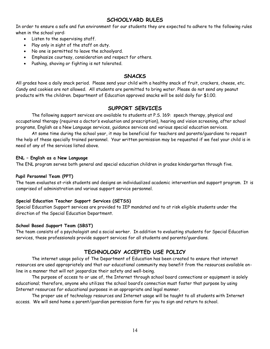# **SCHOOLYARD RULES**

In order to ensure a safe and fun environment for our students they are expected to adhere to the following rules when in the school yard:

- Listen to the supervising staff.
- Play only in sight of the staff on duty.
- No one is permitted to leave the schoolyard.
- Emphasize courtesy, consideration and respect for others.
- Pushing, shoving or fighting is not tolerated.

## **SNACKS**

All grades have a daily snack period. Please send your child with a healthy snack of fruit, crackers, cheese, etc. Candy and cookies are not allowed. All students are permitted to bring water. Please do not send any peanut products with the children. Department of Education approved snacks will be sold daily for \$1.00.

# **SUPPORT SERVICES**

The following support services are available to students at P.S. 169: speech therapy, physical and occupational therapy (requires a doctor's evaluation and prescription), hearing and vision screening, after school programs, English as a New Language services, guidance services and various special education services.

At some time during the school year, it may be beneficial for teachers and parents/guardians to request the help of these specially trained personnel. Your written permission may be requested if we feel your child is in need of any of the services listed above.

#### **ENL – English as a New Language**

The ENL program serves both general and special education children in grades kindergarten through five.

#### **Pupil Personnel Team (PPT)**

The team evaluates at-risk students and designs an individualized academic intervention and support program. It is comprised of administration and various support service personnel.

#### **Special Education Teacher Support Services (SETSS)**

Special Education Support services are provided to IEP mandated and to at risk eligible students under the direction of the Special Education Department.

#### **School Based Support Team (SBST)**

The team consists of a psychologist and a social worker. In addition to evaluating students for Special Education services, these professionals provide support services for all students and parents/guardians.

# **TECHNOLOGY ACCEPTED USE POLICY**

The internet usage policy of The Department of Education has been created to ensure that internet resources are used appropriately and that our educational community may benefit from the resources available online in a manner that will not jeopardize their safety and well-being.

The purpose of access to or use of, the Internet through school board connections or equipment is solely educational; therefore, anyone who utilizes the school board's connection must foster that purpose by using Internet resources for educational purposes in an appropriate and legal manner.

The proper use of technology resources and Internet usage will be taught to all students with Internet access. We will send home a parent/guardian permission form for you to sign and return to school.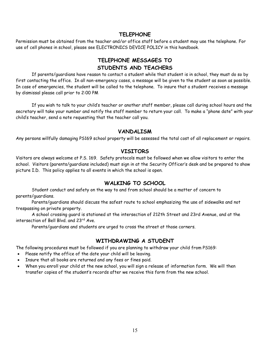# **TELEPHONE**

Permission must be obtained from the teacher and/or office staff before a student may use the telephone. For use of cell phones in school, please see ELECTRONICS DEVICE POLICY in this handbook.

# **TELEPHONE MESSAGES TO STUDENTS AND TEACHERS**

If parents/guardians have reason to contact a student while that student is in school, they must do so by first contacting the office. In all non-emergency cases, a message will be given to the student as soon as possible. In case of emergencies, the student will be called to the telephone. To insure that a student receives a message by dismissal please call prior to 2:00 PM

If you wish to talk to your child's teacher or another staff member, please call during school hours and the secretary will take your number and notify the staff member to return your call. To make a "phone date" with your child's teacher, send a note requesting that the teacher call you.

### **VANDALISM**

Any persons willfully damaging PS169 school property will be assessed the total cost of all replacement or repairs.

### **VISITORS**

Visitors are always welcome at P.S. 169. Safety protocols must be followed when we allow visitors to enter the school. Visitors (parents/guardians included) must sign in at the Security Officer's desk and be prepared to show picture I.D. This policy applies to all events in which the school is open.

# **WALKING TO SCHOOL**

Student conduct and safety on the way to and from school should be a matter of concern to parents/guardians.

Parents/guardians should discuss the safest route to school emphasizing the use of sidewalks and not trespassing on private property.

A school crossing guard is stationed at the intersection of 212th Street and 23rd Avenue, and at the intersection of Bell Blvd. and 23rd Ave.

Parents/guardians and students are urged to cross the street at those corners.

# **WITHDRAWING A STUDENT**

The following procedures must be followed if you are planning to withdraw your child from PS169:

- Please notify the office of the date your child will be leaving.
- Insure that all books are returned and any fees or fines paid.
- When you enroll your child at the new school, you will sign a release of information form. We will then transfer copies of the student's records after we receive this form from the new school.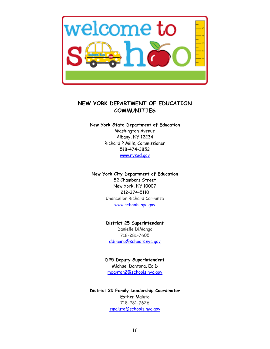

# **NEW YORK DEPARTMENT OF EDUCATION COMMUNITIES**

#### **New York State Department of Education**

Washington Avenue Albany, NY 12234 Richard P Mills, Commissioner 518-474-3852 [www.nysed.gov](http://www.nysed.gov/)

#### **New York City Department of Education**

52 Chambers Street New York, NY 10007 212-374-5110 Chancellor Richard Carranza [www.schools.nyc.gov](http://www.schools.nyc.gov/)

**District 25 Superintendent** Danielle DiMango 718-281-7605 [ddimang@schools.nyc.gov](mailto:ddimang@schools.nyc.gov)

**D25 Deputy Superintendent** Michael Dantona, Ed.D [mdanton2@schools.nyc.gov](mailto:mdanton2@schools.nyc.gov)

**District 25 Family Leadership Coordinator** Esther Maluto 718-281-7626 [emaluto@schools.nyc.gov](mailto:emaluto@schools.nyc.gov)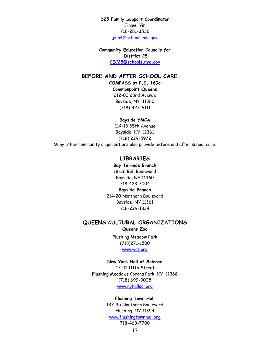**D25 Family Support Coordinator** Jinmei Yin 718-281-3536 [jyin4@schools.nyc.gov](mailto:jyin4@schools.nyc.gov)

**Community Education Councils for District 25 [CEC25@schools.nyc.gov](mailto:CEC25@schools.nyc.gov)**

#### **BEFORE AND AFTER SCHOOL CARE**

**COMPASS at P.S. 169q**

**Commonpoint Queens** 212-00 23rd Avenue Bayside, NY 11360 (718)-423-6111

**Bayside YMCA**

214-13 35th Avenue Bayside, NY 11361 (718) 229-5972

Many other community organizations also provide before and after school care.

#### **LIBRARIES**

**Bay Terrace Branch**  18-36 Bell Boulevard Bayside, NY 11360 718-423-7004 **Bayside Branch**  214-20 Northern Boulevard Bayside, NY 11361 718-229-1834

#### **QUEENS CULTURAL ORGANIZATIONS**

#### **Queens Zoo**

Flushing Meadow Park (718)271-1500 [www.wcs.org](http://www.wcs.org/)

#### **New York Hall of Science**

47-01 111th Street Flushing Meadows Corona Park, NY 11368 (718) 699-0005 [www.nyhallsci.org](http://www.nyhallsci.org/)

#### **Flushing Town Hall**

137-35 Northern Boulevard Flushing, NY 11354 [www.flushingtownhall.org](http://www.flushingtownhall.org/) 718-463-7700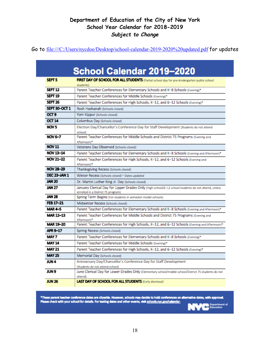Go to <file:///C:/Users/nycdoe/Desktop/school-calendar-2019-2020%20updated.pdf> for updates

|                    | School Calendar 2019-2020                                                                                                                |
|--------------------|------------------------------------------------------------------------------------------------------------------------------------------|
| SEPT <sub>5</sub>  | FIRST DAY OF SCHOOL FOR ALL STUDENTS (Partial school day for pre-kindergarten public school<br>students)                                 |
| SEPT <sub>12</sub> | Parent Teacher Conferences for Elementary Schools and K-8 Schools (Evening)*                                                             |
| SEPT 19            | Parent Teacher Conferences for Middle Schools (Evening)*                                                                                 |
| SEPT 26            | Parent Teacher Conferences for High Schools, K-12, and 6-12 Schools (Evening)*                                                           |
| SEPT 30-OCT 1      | Rosh Hashanah (Schools closed)                                                                                                           |
| OCT <sub>9</sub>   | Yom Kippur (Schools closed)                                                                                                              |
| <b>OCT 14</b>      | Columbus Day (Schools closed)                                                                                                            |
| NOV 5              | Election Day/Chancellor's Conference Day for Staff Development (Students do not attend<br>school                                         |
| NOV 6-7            | Parent Teacher Conferences for Middle Schools and District 75 Programs (Evening and<br>Afternoon)*                                       |
| <b>NOV 11</b>      | Veterans Day Observed (Schools closed)                                                                                                   |
| NOV 13-14          | Parent Teacher Conferences for Elementary Schools and K-8 Schools (Evening and Afternoon)*                                               |
| NOV 21-22          | Parent Teacher Conferences for High Schools, K-12, and 6-12 Schools (Evening and<br>Afternoon)*                                          |
| NOV 28-29          | Thanksgiving Recess (Schools closed)                                                                                                     |
| DEC 23-JAN 1       | Winter Recess (Schools closed)-Dates updated                                                                                             |
| JAN 20             | Dr. Martin Luther King Jr. Day (Schools closed)                                                                                          |
| JAN 27             | January Clerical Day for Upper Grades Only (High school/6-12 school students do not attend, unless<br>enrolled in a District 75 program) |
| JAN 28             | Spring Term Begins (For students in semester-model schools)                                                                              |
| FEB 17-21          | Midwinter Recess (Schools closed)                                                                                                        |
| <b>MAR4-5</b>      | Parent Teacher Conferences for Elementary Schools and K-8 Schools (Evening and Afternoon)*                                               |
| MAR 12-13          | Parent Teacher Conferences for Middle Schools and District 75 Programs (Evening and<br>Afternoon)*                                       |
| MAR 19-20          | Parent Teacher Conferences for High Schools, K-12, and 6-12 Schools (Evening and Afternoon)*                                             |
| APR 9-17           | Spring Recess (Schools closed)                                                                                                           |
| MAY 7              | Parent Teacher Conferences for Elementary Schools and K-8 Schools (Evening)*                                                             |
| <b>MAY 14</b>      | Parent Teacher Conferences for Middle Schools (Evening)*                                                                                 |
| <b>MAY 21</b>      | Parent Teacher Conferences for High Schools, K-12, and 6-12 Schools (Evening)*                                                           |
| <b>MAY 25</b>      | Memorial Day (Schools closed)                                                                                                            |
| JUN 4              | Anniversary Day/Chancellor's Conference Day for Staff Development<br>(Students do not attend school)                                     |
| <b>UN 9</b>        | June Clerical Day for Lower Grades Only (Elementary school/middle school/District 75 students do not<br>attend)                          |
| <b>JUN 26</b>      | <b>LAST DAY OF SCHOOL FOR ALL STUDENTS (Early dismissal)</b>                                                                             |

\*These parent teacher conference dates are citywide. However, schools may decide to hold conferences on alternative dates, with approval.<br>Please check with your school for details. For testing dates and other events, visit